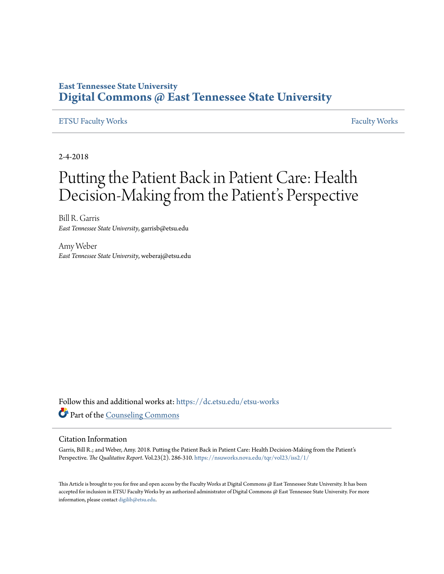### **East Tennessee State University [Digital Commons @ East Tennessee State University](https://dc.etsu.edu?utm_source=dc.etsu.edu%2Fetsu-works%2F5343&utm_medium=PDF&utm_campaign=PDFCoverPages)**

#### [ETSU Faculty Works](https://dc.etsu.edu/etsu-works?utm_source=dc.etsu.edu%2Fetsu-works%2F5343&utm_medium=PDF&utm_campaign=PDFCoverPages) [Faculty Works](https://dc.etsu.edu/faculty-works?utm_source=dc.etsu.edu%2Fetsu-works%2F5343&utm_medium=PDF&utm_campaign=PDFCoverPages) Faculty Works

2-4-2018

## Putting the Patient Back in Patient Care: Health Decision-Making from the Patient's Perspective

Bill R. Garris *East Tennessee State University*, garrisb@etsu.edu

Amy Weber *East Tennessee State University*, weberaj@etsu.edu

Follow this and additional works at: [https://dc.etsu.edu/etsu-works](https://dc.etsu.edu/etsu-works?utm_source=dc.etsu.edu%2Fetsu-works%2F5343&utm_medium=PDF&utm_campaign=PDFCoverPages) Part of the [Counseling Commons](http://network.bepress.com/hgg/discipline/1268?utm_source=dc.etsu.edu%2Fetsu-works%2F5343&utm_medium=PDF&utm_campaign=PDFCoverPages)

#### Citation Information

Garris, Bill R.; and Weber, Amy. 2018. Putting the Patient Back in Patient Care: Health Decision-Making from the Patient's Perspective. *The Qualitative Report*. Vol.23(2). 286-310. <https://nsuworks.nova.edu/tqr/vol23/iss2/1/>

This Article is brought to you for free and open access by the Faculty Works at Digital Commons @ East Tennessee State University. It has been accepted for inclusion in ETSU Faculty Works by an authorized administrator of Digital Commons @ East Tennessee State University. For more information, please contact [digilib@etsu.edu.](mailto:digilib@etsu.edu)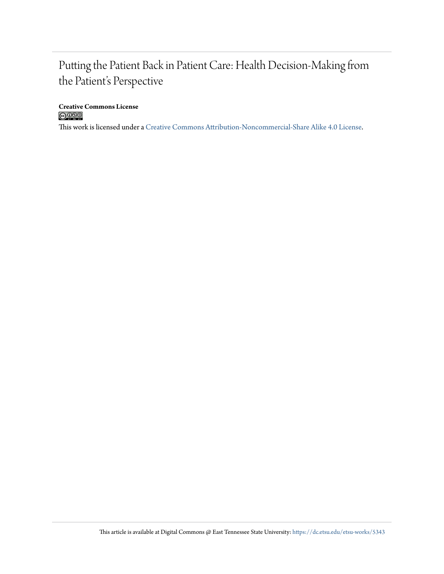### Putting the Patient Back in Patient Care: Health Decision-Making from the Patient's Perspective

**Creative Commons License**

This work is licensed under a [Creative Commons Attribution-Noncommercial-Share Alike 4.0 License.](http://creativecommons.org/licenses/by-nc-sa/4.0/)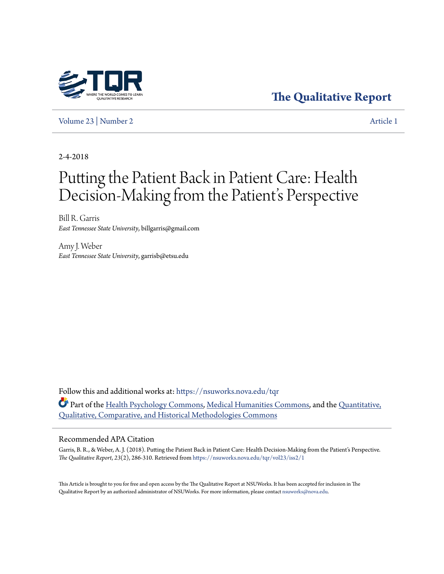

**[The Qualitative Report](https://nsuworks.nova.edu/tqr?utm_source=nsuworks.nova.edu%2Ftqr%2Fvol23%2Fiss2%2F1&utm_medium=PDF&utm_campaign=PDFCoverPages)**

[Volume 23](https://nsuworks.nova.edu/tqr/vol23?utm_source=nsuworks.nova.edu%2Ftqr%2Fvol23%2Fiss2%2F1&utm_medium=PDF&utm_campaign=PDFCoverPages) | [Number 2](https://nsuworks.nova.edu/tqr/vol23/iss2?utm_source=nsuworks.nova.edu%2Ftqr%2Fvol23%2Fiss2%2F1&utm_medium=PDF&utm_campaign=PDFCoverPages) [Article 1](https://nsuworks.nova.edu/tqr/vol23/iss2/1?utm_source=nsuworks.nova.edu%2Ftqr%2Fvol23%2Fiss2%2F1&utm_medium=PDF&utm_campaign=PDFCoverPages)

2-4-2018

# Putting the Patient Back in Patient Care: Health Decision-Making from the Patient's Perspective

Bill R. Garris *East Tennessee State University*, billgarris@gmail.com

Amy J. Weber *East Tennessee State University*, garrisb@etsu.edu

Follow this and additional works at: [https://nsuworks.nova.edu/tqr](https://nsuworks.nova.edu/tqr?utm_source=nsuworks.nova.edu%2Ftqr%2Fvol23%2Fiss2%2F1&utm_medium=PDF&utm_campaign=PDFCoverPages) Part of the [Health Psychology Commons](http://network.bepress.com/hgg/discipline/411?utm_source=nsuworks.nova.edu%2Ftqr%2Fvol23%2Fiss2%2F1&utm_medium=PDF&utm_campaign=PDFCoverPages), [Medical Humanities Commons](http://network.bepress.com/hgg/discipline/1303?utm_source=nsuworks.nova.edu%2Ftqr%2Fvol23%2Fiss2%2F1&utm_medium=PDF&utm_campaign=PDFCoverPages), and the [Quantitative,](http://network.bepress.com/hgg/discipline/423?utm_source=nsuworks.nova.edu%2Ftqr%2Fvol23%2Fiss2%2F1&utm_medium=PDF&utm_campaign=PDFCoverPages) [Qualitative, Comparative, and Historical Methodologies Commons](http://network.bepress.com/hgg/discipline/423?utm_source=nsuworks.nova.edu%2Ftqr%2Fvol23%2Fiss2%2F1&utm_medium=PDF&utm_campaign=PDFCoverPages)

#### Recommended APA Citation

Garris, B. R., & Weber, A. J. (2018). Putting the Patient Back in Patient Care: Health Decision-Making from the Patient's Perspective. *The Qualitative Report*, *23*(2), 286-310. Retrieved from [https://nsuworks.nova.edu/tqr/vol23/iss2/1](https://nsuworks.nova.edu/tqr/vol23/iss2/1?utm_source=nsuworks.nova.edu%2Ftqr%2Fvol23%2Fiss2%2F1&utm_medium=PDF&utm_campaign=PDFCoverPages)

This Article is brought to you for free and open access by the The Qualitative Report at NSUWorks. It has been accepted for inclusion in The Qualitative Report by an authorized administrator of NSUWorks. For more information, please contact [nsuworks@nova.edu](mailto:nsuworks@nova.edu).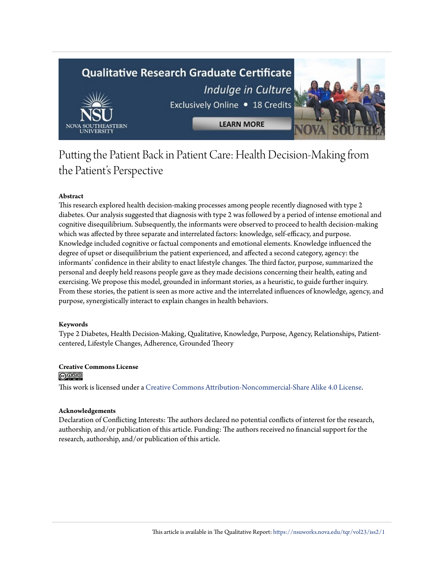## **Qualitative Research Graduate Certificate** Indulge in Culture Exclusively Online . 18 Credits **LEARN MORE** NOVA

### Putting the Patient Back in Patient Care: Health Decision-Making from the Patient's Perspective

#### **Abstract**

This research explored health decision-making processes among people recently diagnosed with type 2 diabetes. Our analysis suggested that diagnosis with type 2 was followed by a period of intense emotional and cognitive disequilibrium. Subsequently, the informants were observed to proceed to health decision-making which was affected by three separate and interrelated factors: knowledge, self-efficacy, and purpose. Knowledge included cognitive or factual components and emotional elements. Knowledge influenced the degree of upset or disequilibrium the patient experienced, and affected a second category, agency: the informants' confidence in their ability to enact lifestyle changes. The third factor, purpose, summarized the personal and deeply held reasons people gave as they made decisions concerning their health, eating and exercising. We propose this model, grounded in informant stories, as a heuristic, to guide further inquiry. From these stories, the patient is seen as more active and the interrelated influences of knowledge, agency, and purpose, synergistically interact to explain changes in health behaviors.

#### **Keywords**

Type 2 Diabetes, Health Decision-Making, Qualitative, Knowledge, Purpose, Agency, Relationships, Patientcentered, Lifestyle Changes, Adherence, Grounded Theory

### **Creative Commons License**

This work is licensed under a [Creative Commons Attribution-Noncommercial-Share Alike 4.0 License.](http://creativecommons.org/licenses/by-nc-sa/4.0/)

#### **Acknowledgements**

Declaration of Conflicting Interests: The authors declared no potential conflicts of interest for the research, authorship, and/or publication of this article. Funding: The authors received no financial support for the research, authorship, and/or publication of this article.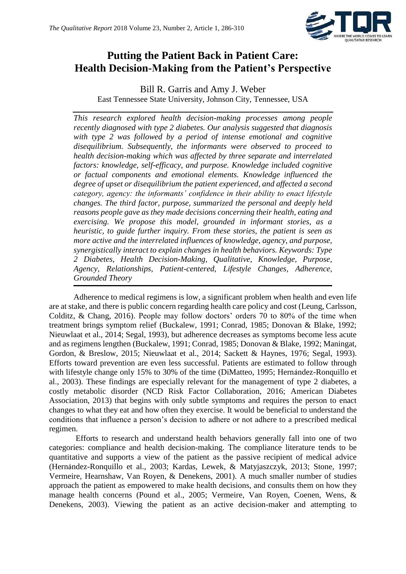

### **Putting the Patient Back in Patient Care: Health Decision-Making from the Patient's Perspective**

Bill R. Garris and Amy J. Weber East Tennessee State University, Johnson City, Tennessee, USA

*This research explored health decision-making processes among people recently diagnosed with type 2 diabetes. Our analysis suggested that diagnosis with type 2 was followed by a period of intense emotional and cognitive disequilibrium. Subsequently, the informants were observed to proceed to health decision-making which was affected by three separate and interrelated factors: knowledge, self-efficacy, and purpose. Knowledge included cognitive or factual components and emotional elements. Knowledge influenced the degree of upset or disequilibrium the patient experienced, and affected a second category, agency: the informants' confidence in their ability to enact lifestyle changes. The third factor, purpose, summarized the personal and deeply held reasons people gave as they made decisions concerning their health, eating and exercising. We propose this model, grounded in informant stories, as a heuristic, to guide further inquiry. From these stories, the patient is seen as more active and the interrelated influences of knowledge, agency, and purpose, synergistically interact to explain changes in health behaviors. Keywords: Type 2 Diabetes, Health Decision-Making, Qualitative, Knowledge, Purpose, Agency, Relationships, Patient-centered, Lifestyle Changes, Adherence, Grounded Theory*

Adherence to medical regimens is low, a significant problem when health and even life are at stake, and there is public concern regarding health care policy and cost (Leung, Carlsson, Colditz, & Chang, 2016). People may follow doctors' orders 70 to 80% of the time when treatment brings symptom relief (Buckalew, 1991; Conrad, 1985; Donovan & Blake, 1992; Nieuwlaat et al., 2014; Segal, 1993), but adherence decreases as symptoms become less acute and as regimens lengthen (Buckalew, 1991; Conrad, 1985; Donovan & Blake, 1992; Maningat, Gordon, & Breslow, 2015; Nieuwlaat et al., 2014; Sackett & Haynes, 1976; Segal, 1993). Efforts toward prevention are even less successful. Patients are estimated to follow through with lifestyle change only 15% to 30% of the time (DiMatteo, 1995; Hernández-Ronquillo et al., 2003). These findings are especially relevant for the management of type 2 diabetes, a costly metabolic disorder (NCD Risk Factor Collaboration, 2016; American Diabetes Association, 2013) that begins with only subtle symptoms and requires the person to enact changes to what they eat and how often they exercise. It would be beneficial to understand the conditions that influence a person's decision to adhere or not adhere to a prescribed medical regimen.

Efforts to research and understand health behaviors generally fall into one of two categories: compliance and health decision-making. The compliance literature tends to be quantitative and supports a view of the patient as the passive recipient of medical advice (Hernández-Ronquillo et al., 2003; Kardas, Lewek, & Matyjaszczyk, 2013; Stone, 1997; Vermeire, Hearnshaw, Van Royen, & Denekens, 2001). A much smaller number of studies approach the patient as empowered to make health decisions, and consults them on how they manage health concerns (Pound et al., 2005; Vermeire, Van Royen, Coenen, Wens, & Denekens, 2003). Viewing the patient as an active decision-maker and attempting to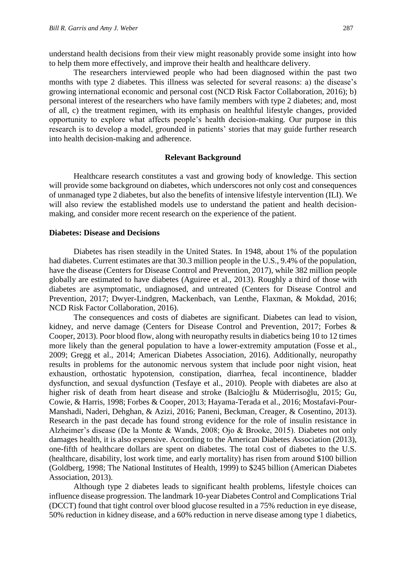understand health decisions from their view might reasonably provide some insight into how to help them more effectively, and improve their health and healthcare delivery.

The researchers interviewed people who had been diagnosed within the past two months with type 2 diabetes. This illness was selected for several reasons: a) the disease's growing international economic and personal cost (NCD Risk Factor Collaboration, 2016); b) personal interest of the researchers who have family members with type 2 diabetes; and, most of all, c) the treatment regimen, with its emphasis on healthful lifestyle changes, provided opportunity to explore what affects people's health decision-making. Our purpose in this research is to develop a model, grounded in patients' stories that may guide further research into health decision-making and adherence.

#### **Relevant Background**

Healthcare research constitutes a vast and growing body of knowledge. This section will provide some background on diabetes, which underscores not only cost and consequences of unmanaged type 2 diabetes, but also the benefits of intensive lifestyle intervention (ILI). We will also review the established models use to understand the patient and health decisionmaking, and consider more recent research on the experience of the patient.

#### **Diabetes: Disease and Decisions**

Diabetes has risen steadily in the United States. In 1948, about 1% of the population had diabetes. Current estimates are that 30.3 million people in the U.S., 9.4% of the population, have the disease (Centers for Disease Control and Prevention, 2017), while 382 million people globally are estimated to have diabetes (Aguiree et al., 2013). Roughly a third of those with diabetes are asymptomatic, undiagnosed, and untreated (Centers for Disease Control and Prevention, 2017; Dwyer-Lindgren, Mackenbach, van Lenthe, Flaxman, & Mokdad, 2016; NCD Risk Factor Collaboration, 2016).

The consequences and costs of diabetes are significant. Diabetes can lead to vision, kidney, and nerve damage (Centers for Disease Control and Prevention, 2017; Forbes & Cooper, 2013). Poor blood flow, along with neuropathy results in diabetics being 10 to 12 times more likely than the general population to have a lower-extremity amputation (Fosse et al., 2009; Gregg et al., 2014; American Diabetes Association, 2016). Additionally, neuropathy results in problems for the autonomic nervous system that include poor night vision, heat exhaustion, orthostatic hypotension, constipation, diarrhea, fecal incontinence, bladder dysfunction, and sexual dysfunction (Tesfaye et al., 2010). People with diabetes are also at higher risk of death from heart disease and stroke (Balcioğlu & Müderrisoğlu, 2015; Gu, Cowie, & Harris, 1998; Forbes & Cooper, 2013; Hayama-Terada et al., 2016; Mostafavi-Pour-Manshadi, Naderi, Dehghan, & Azizi, 2016; Paneni, Beckman, Creager, & Cosentino, 2013). Research in the past decade has found strong evidence for the role of insulin resistance in Alzheimer's disease (De la Monte & Wands, 2008; Ojo & Brooke, 2015). Diabetes not only damages health, it is also expensive. According to the American Diabetes Association (2013), one-fifth of healthcare dollars are spent on diabetes. The total cost of diabetes to the U.S. (healthcare, disability, lost work time, and early mortality) has risen from around \$100 billion (Goldberg, 1998; The National Institutes of Health, 1999) to \$245 billion (American Diabetes Association, 2013).

Although type 2 diabetes leads to significant health problems, lifestyle choices can influence disease progression. The landmark 10-year Diabetes Control and Complications Trial (DCCT) found that tight control over blood glucose resulted in a 75% reduction in eye disease, 50% reduction in kidney disease, and a 60% reduction in nerve disease among type 1 diabetics,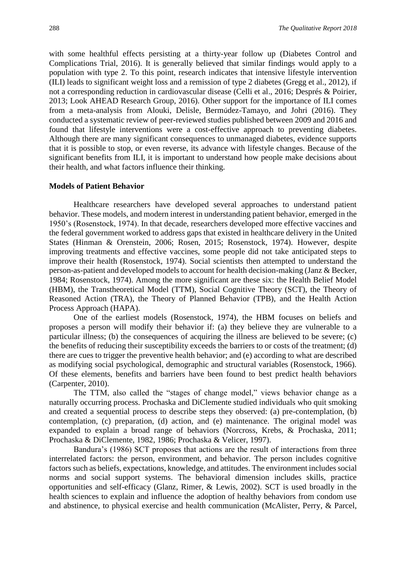with some healthful effects persisting at a thirty-year follow up (Diabetes Control and Complications Trial, 2016). It is generally believed that similar findings would apply to a population with type 2. To this point, research indicates that intensive lifestyle intervention (ILI) leads to significant weight loss and a remission of type 2 diabetes (Gregg et al., 2012), if not a corresponding reduction in cardiovascular disease (Celli et al., 2016; Després & Poirier, 2013; Look AHEAD Research Group, 2016). Other support for the importance of ILI comes from a meta-analysis from Alouki, Delisle, Bermúdez-Tamayo, and Johri (2016). They conducted a systematic review of peer-reviewed studies published between 2009 and 2016 and found that lifestyle interventions were a cost-effective approach to preventing diabetes. Although there are many significant consequences to unmanaged diabetes, evidence supports that it is possible to stop, or even reverse, its advance with lifestyle changes. Because of the significant benefits from ILI, it is important to understand how people make decisions about their health, and what factors influence their thinking.

#### **Models of Patient Behavior**

Healthcare researchers have developed several approaches to understand patient behavior. These models, and modern interest in understanding patient behavior, emerged in the 1950's (Rosenstock, 1974). In that decade, researchers developed more effective vaccines and the federal government worked to address gaps that existed in healthcare delivery in the United States (Hinman & Orenstein, 2006; Rosen, 2015; Rosenstock, 1974). However, despite improving treatments and effective vaccines, some people did not take anticipated steps to improve their health (Rosenstock, 1974). Social scientists then attempted to understand the person-as-patient and developed models to account for health decision-making (Janz & Becker, 1984; Rosenstock, 1974). Among the more significant are these six: the Health Belief Model (HBM), the Transtheoretical Model (TTM), Social Cognitive Theory (SCT), the Theory of Reasoned Action (TRA), the Theory of Planned Behavior (TPB), and the Health Action Process Approach (HAPA).

One of the earliest models (Rosenstock, 1974), the HBM focuses on beliefs and proposes a person will modify their behavior if: (a) they believe they are vulnerable to a particular illness; (b) the consequences of acquiring the illness are believed to be severe; (c) the benefits of reducing their susceptibility exceeds the barriers to or costs of the treatment; (d) there are cues to trigger the preventive health behavior; and (e) according to what are described as modifying social psychological, demographic and structural variables (Rosenstock, 1966). Of these elements, benefits and barriers have been found to best predict health behaviors (Carpenter, 2010).

The TTM, also called the "stages of change model," views behavior change as a naturally occurring process. Prochaska and DiClemente studied individuals who quit smoking and created a sequential process to describe steps they observed: (a) pre-contemplation, (b) contemplation, (c) preparation, (d) action, and (e) maintenance. The original model was expanded to explain a broad range of behaviors (Norcross, Krebs, & Prochaska, 2011; Prochaska & DiClemente, 1982, 1986; Prochaska & Velicer, 1997).

Bandura's (1986) SCT proposes that actions are the result of interactions from three interrelated factors: the person, environment, and behavior. The person includes cognitive factors such as beliefs, expectations, knowledge, and attitudes. The environment includes social norms and social support systems. The behavioral dimension includes skills, practice opportunities and self-efficacy (Glanz, Rimer, & Lewis, 2002). SCT is used broadly in the health sciences to explain and influence the adoption of healthy behaviors from condom use and abstinence, to physical exercise and health communication (McAlister, Perry, & Parcel,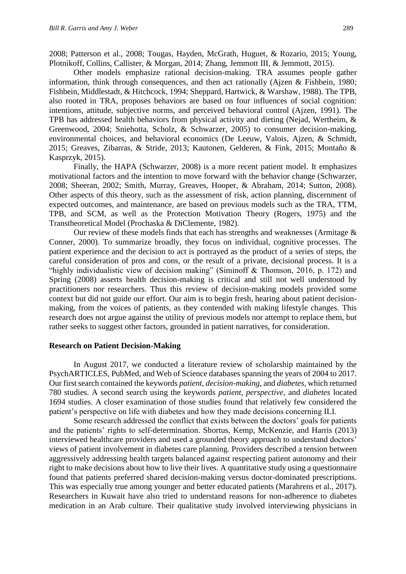2008; Patterson et al., 2008; Tougas, Hayden, McGrath, Huguet, & Rozario, 2015; Young, Plotnikoff, Collins, Callister, & Morgan, 2014; Zhang, Jemmott III, & Jemmott, 2015).

Other models emphasize rational decision-making. TRA assumes people gather information, think through consequences, and then act rationally (Ajzen & Fishbein, 1980; Fishbein, Middlestadt, & Hitchcock, 1994; Sheppard, Hartwick, & Warshaw, 1988). The TPB, also rooted in TRA, proposes behaviors are based on four influences of social cognition: intentions, attitude, subjective norms, and perceived behavioral control (Ajzen, 1991). The TPB has addressed health behaviors from physical activity and dieting (Nejad, Wertheim, & Greenwood, 2004; Sniehotta, Scholz, & Schwarzer, 2005) to consumer decision-making, environmental choices, and behavioral economics (De Leeuw, Valois, Ajzen, & Schmidt, 2015; Greaves, Zibarras, & Stride, 2013; Kautonen, Gelderen, & Fink, 2015; Montaño & Kasprzyk, 2015).

Finally, the HAPA (Schwarzer, 2008) is a more recent patient model. It emphasizes motivational factors and the intention to move forward with the behavior change (Schwarzer, 2008; Sheeran, 2002; Smith, Murray, Greaves, Hooper, & Abraham, 2014; Sutton, 2008). Other aspects of this theory, such as the assessment of risk, action planning, discernment of expected outcomes, and maintenance, are based on previous models such as the TRA, TTM, TPB, and SCM, as well as the Protection Motivation Theory (Rogers, 1975) and the Transtheoretical Model (Prochaska & DiClemente, 1982).

Our review of these models finds that each has strengths and weaknesses (Armitage & Conner, 2000). To summarize broadly, they focus on individual, cognitive processes. The patient experience and the decision to act is portrayed as the product of a series of steps, the careful consideration of pros and cons, or the result of a private, decisional process. It is a "highly individualistic view of decision making" (Siminoff & Thomson, 2016, p. 172) and Spring (2008) asserts health decision-making is critical and still not well understood by practitioners nor researchers. Thus this review of decision-making models provided some context but did not guide our effort. Our aim is to begin fresh, hearing about patient decisionmaking, from the voices of patients, as they contended with making lifestyle changes. This research does not argue against the utility of previous models nor attempt to replace them, but rather seeks to suggest other factors, grounded in patient narratives, for consideration.

#### **Research on Patient Decision-Making**

In August 2017, we conducted a literature review of scholarship maintained by the PsychARTICLES, PubMed, and Web of Science databases spanning the years of 2004 to 2017. Our first search contained the keywords *patient*, *decision-making*, and *diabetes,* which returned 780 studies. A second search using the keywords *patient*, *perspective*, and *diabetes* located 1694 studies. A closer examination of those studies found that relatively few considered the patient's perspective on life with diabetes and how they made decisions concerning ILI.

Some research addressed the conflict that exists between the doctors' goals for patients and the patients' rights to self-determination. Shortus, Kemp, McKenzie, and Harris (2013) interviewed healthcare providers and used a grounded theory approach to understand doctors' views of patient involvement in diabetes care planning. Providers described a tension between aggressively addressing health targets balanced against respecting patient autonomy and their right to make decisions about how to live their lives. A quantitative study using a questionnaire found that patients preferred shared decision-making versus doctor-dominated prescriptions. This was especially true among younger and better educated patients (Marahrens et al., 2017). Researchers in Kuwait have also tried to understand reasons for non-adherence to diabetes medication in an Arab culture. Their qualitative study involved interviewing physicians in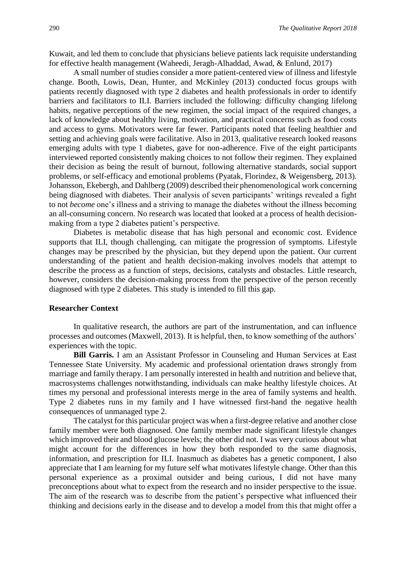Kuwait, and led them to conclude that physicians believe patients lack requisite understanding for effective health management (Waheedi, Jeragh-Alhaddad, Awad, & Enlund, 2017)

A small number of studies consider a more patient-centered view of illness and lifestyle change. Booth, Lowis, Dean, Hunter, and McKinley (2013) conducted focus groups with patients recently diagnosed with type 2 diabetes and health professionals in order to identify barriers and facilitators to ILI. Barriers included the following: difficulty changing lifelong habits, negative perceptions of the new regimen, the social impact of the required changes, a lack of knowledge about healthy living, motivation, and practical concerns such as food costs and access to gyms. Motivators were far fewer. Participants noted that feeling healthier and setting and achieving goals were facilitative. Also in 2013, qualitative research looked reasons emerging adults with type 1 diabetes, gave for non-adherence. Five of the eight participants interviewed reported consistently making choices to not follow their regimen. They explained their decision as being the result of burnout, following alternative standards, social support problems, or self-efficacy and emotional problems (Pyatak, Florindez, & Weigensberg, 2013). Johansson, Ekebergh, and Dahlberg (2009) described their phenomenological work concerning being diagnosed with diabetes. Their analysis of seven participants' writings revealed a fight to not *become* one's illness and a striving to manage the diabetes without the illness becoming an all-consuming concern. No research was located that looked at a process of health decisionmaking from a type 2 diabetes patient's perspective.

Diabetes is metabolic disease that has high personal and economic cost. Evidence supports that ILI, though challenging, can mitigate the progression of symptoms. Lifestyle changes may be prescribed by the physician, but they depend upon the patient. Our current understanding of the patient and health decision-making involves models that attempt to describe the process as a function of steps, decisions, catalysts and obstacles. Little research, however, considers the decision-making process from the perspective of the person recently diagnosed with type 2 diabetes. This study is intended to fill this gap.

#### **Researcher Context**

In qualitative research, the authors are part of the instrumentation, and can influence processes and outcomes (Maxwell, 2013). It is helpful, then, to know something of the authors' experiences with the topic.

**Bill Garris.** I am an Assistant Professor in Counseling and Human Services at East Tennessee State University. My academic and professional orientation draws strongly from marriage and family therapy. I am personally interested in health and nutrition and believe that, macrosystems challenges notwithstanding, individuals can make healthy lifestyle choices. At times my personal and professional interests merge in the area of family systems and health. Type 2 diabetes runs in my family and I have witnessed first-hand the negative health consequences of unmanaged type 2.

The catalyst for this particular project was when a first-degree relative and another close family member were both diagnosed. One family member made significant lifestyle changes which improved their and blood glucose levels; the other did not. I was very curious about what might account for the differences in how they both responded to the same diagnosis, information, and prescription for ILI. Inasmuch as diabetes has a genetic component, I also appreciate that I am learning for my future self what motivates lifestyle change. Other than this personal experience as a proximal outsider and being curious, I did not have many preconceptions about what to expect from the research and no insider perspective to the issue. The aim of the research was to describe from the patient's perspective what influenced their thinking and decisions early in the disease and to develop a model from this that might offer a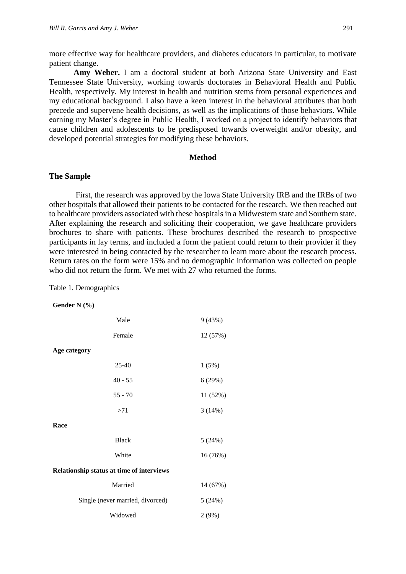more effective way for healthcare providers, and diabetes educators in particular, to motivate patient change.

**Amy Weber.** I am a doctoral student at both Arizona State University and East Tennessee State University, working towards doctorates in Behavioral Health and Public Health, respectively. My interest in health and nutrition stems from personal experiences and my educational background. I also have a keen interest in the behavioral attributes that both precede and supervene health decisions, as well as the implications of those behaviors. While earning my Master's degree in Public Health, I worked on a project to identify behaviors that cause children and adolescents to be predisposed towards overweight and/or obesity, and developed potential strategies for modifying these behaviors.

#### **Method**

#### **The Sample**

First, the research was approved by the Iowa State University IRB and the IRBs of two other hospitals that allowed their patients to be contacted for the research. We then reached out to healthcare providers associated with these hospitals in a Midwestern state and Southern state. After explaining the research and soliciting their cooperation, we gave healthcare providers brochures to share with patients. These brochures described the research to prospective participants in lay terms, and included a form the patient could return to their provider if they were interested in being contacted by the researcher to learn more about the research process. Return rates on the form were 15% and no demographic information was collected on people who did not return the form. We met with 27 who returned the forms.

Table 1. Demographics

#### **Gender N (%)**

| 9(43%)                                    |  |  |
|-------------------------------------------|--|--|
| 12 (57%)                                  |  |  |
|                                           |  |  |
| 1(5%)                                     |  |  |
| 6(29%)                                    |  |  |
| 11 (52%)                                  |  |  |
| 3(14%)                                    |  |  |
|                                           |  |  |
| 5(24%)                                    |  |  |
| 16 (76%)                                  |  |  |
| Relationship status at time of interviews |  |  |
| 14 (67%)                                  |  |  |
| 5(24%)                                    |  |  |
| 2(9%)                                     |  |  |
|                                           |  |  |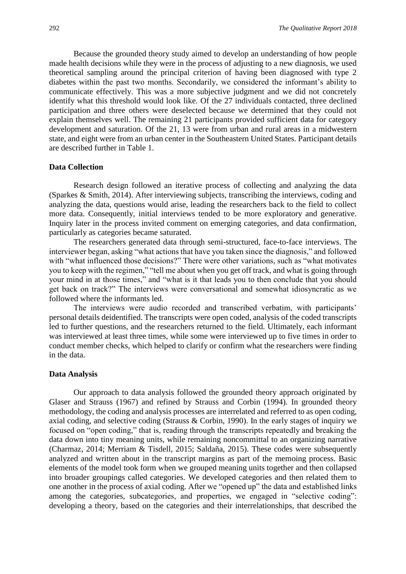Because the grounded theory study aimed to develop an understanding of how people made health decisions while they were in the process of adjusting to a new diagnosis, we used theoretical sampling around the principal criterion of having been diagnosed with type 2 diabetes within the past two months. Secondarily, we considered the informant's ability to communicate effectively. This was a more subjective judgment and we did not concretely identify what this threshold would look like. Of the 27 individuals contacted, three declined participation and three others were deselected because we determined that they could not explain themselves well. The remaining 21 participants provided sufficient data for category development and saturation. Of the 21, 13 were from urban and rural areas in a midwestern state, and eight were from an urban center in the Southeastern United States. Participant details are described further in Table 1.

#### **Data Collection**

Research design followed an iterative process of collecting and analyzing the data (Sparkes & Smith, 2014). After interviewing subjects, transcribing the interviews, coding and analyzing the data, questions would arise, leading the researchers back to the field to collect more data. Consequently, initial interviews tended to be more exploratory and generative. Inquiry later in the process invited comment on emerging categories, and data confirmation, particularly as categories became saturated.

The researchers generated data through semi-structured, face-to-face interviews. The interviewer began, asking "what actions that have you taken since the diagnosis," and followed with "what influenced those decisions?" There were other variations, such as "what motivates you to keep with the regimen," "tell me about when you get off track, and what is going through your mind in at those times," and "what is it that leads you to then conclude that you should get back on track?" The interviews were conversational and somewhat idiosyncratic as we followed where the informants led.

The interviews were audio recorded and transcribed verbatim, with participants' personal details deidentified. The transcripts were open coded, analysis of the coded transcripts led to further questions, and the researchers returned to the field. Ultimately, each informant was interviewed at least three times, while some were interviewed up to five times in order to conduct member checks, which helped to clarify or confirm what the researchers were finding in the data.

#### **Data Analysis**

Our approach to data analysis followed the grounded theory approach originated by Glaser and Strauss (1967) and refined by Strauss and Corbin (1994)*.* In grounded theory methodology, the coding and analysis processes are interrelated and referred to as open coding, axial coding, and selective coding (Strauss & Corbin, 1990). In the early stages of inquiry we focused on "open coding," that is, reading through the transcripts repeatedly and breaking the data down into tiny meaning units, while remaining noncommittal to an organizing narrative (Charmaz, 2014; Merriam & Tisdell, 2015; Saldaña, 2015). These codes were subsequently analyzed and written about in the transcript margins as part of the memoing process. Basic elements of the model took form when we grouped meaning units together and then collapsed into broader groupings called categories. We developed categories and then related them to one another in the process of axial coding. After we "opened up" the data and established links among the categories, subcategories, and properties, we engaged in "selective coding": developing a theory, based on the categories and their interrelationships, that described the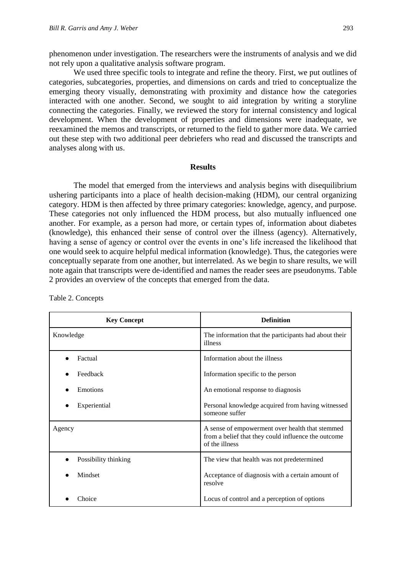phenomenon under investigation. The researchers were the instruments of analysis and we did not rely upon a qualitative analysis software program.

We used three specific tools to integrate and refine the theory. First, we put outlines of categories, subcategories, properties, and dimensions on cards and tried to conceptualize the emerging theory visually, demonstrating with proximity and distance how the categories interacted with one another. Second, we sought to aid integration by writing a storyline connecting the categories. Finally, we reviewed the story for internal consistency and logical development. When the development of properties and dimensions were inadequate, we reexamined the memos and transcripts, or returned to the field to gather more data. We carried out these step with two additional peer debriefers who read and discussed the transcripts and analyses along with us.

#### **Results**

The model that emerged from the interviews and analysis begins with disequilibrium ushering participants into a place of health decision-making (HDM), our central organizing category. HDM is then affected by three primary categories: knowledge, agency, and purpose. These categories not only influenced the HDM process, but also mutually influenced one another. For example, as a person had more, or certain types of, information about diabetes (knowledge), this enhanced their sense of control over the illness (agency). Alternatively, having a sense of agency or control over the events in one's life increased the likelihood that one would seek to acquire helpful medical information (knowledge). Thus, the categories were conceptually separate from one another, but interrelated. As we begin to share results, we will note again that transcripts were de-identified and names the reader sees are pseudonyms. Table 2 provides an overview of the concepts that emerged from the data.

| <b>Key Concept</b>   | <b>Definition</b>                                                                                                        |
|----------------------|--------------------------------------------------------------------------------------------------------------------------|
| Knowledge            | The information that the participants had about their<br>illness                                                         |
| Factual              | Information about the illness                                                                                            |
| Feedback             | Information specific to the person                                                                                       |
| Emotions             | An emotional response to diagnosis                                                                                       |
| Experiential         | Personal knowledge acquired from having witnessed<br>someone suffer                                                      |
| Agency               | A sense of empowerment over health that stemmed<br>from a belief that they could influence the outcome<br>of the illness |
| Possibility thinking | The view that health was not predetermined                                                                               |
| Mindset              | Acceptance of diagnosis with a certain amount of<br>resolve                                                              |
| Choice               | Locus of control and a perception of options                                                                             |

Table 2. Concepts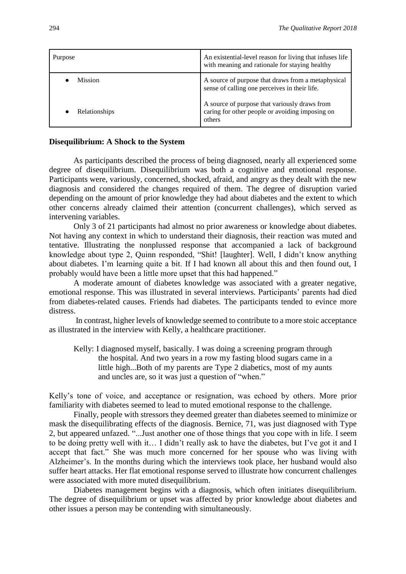| Purpose              | An existential-level reason for living that infuses life<br>with meaning and rationale for staying healthy |
|----------------------|------------------------------------------------------------------------------------------------------------|
| <b>Mission</b>       | A source of purpose that draws from a metaphysical<br>sense of calling one perceives in their life.        |
| <b>Relationships</b> | A source of purpose that variously draws from<br>caring for other people or avoiding imposing on<br>others |

#### **Disequilibrium: A Shock to the System**

As participants described the process of being diagnosed, nearly all experienced some degree of disequilibrium. Disequilibrium was both a cognitive and emotional response. Participants were, variously, concerned, shocked, afraid, and angry as they dealt with the new diagnosis and considered the changes required of them. The degree of disruption varied depending on the amount of prior knowledge they had about diabetes and the extent to which other concerns already claimed their attention (concurrent challenges), which served as intervening variables.

Only 3 of 21 participants had almost no prior awareness or knowledge about diabetes. Not having any context in which to understand their diagnosis, their reaction was muted and tentative. Illustrating the nonplussed response that accompanied a lack of background knowledge about type 2, Quinn responded, "Shit! [laughter]. Well, I didn't know anything about diabetes. I'm learning quite a bit. If I had known all about this and then found out, I probably would have been a little more upset that this had happened."

A moderate amount of diabetes knowledge was associated with a greater negative, emotional response. This was illustrated in several interviews. Participants' parents had died from diabetes-related causes. Friends had diabetes. The participants tended to evince more distress.

In contrast, higher levels of knowledge seemed to contribute to a more stoic acceptance as illustrated in the interview with Kelly, a healthcare practitioner.

Kelly: I diagnosed myself, basically. I was doing a screening program through the hospital. And two years in a row my fasting blood sugars came in a little high...Both of my parents are Type 2 diabetics, most of my aunts and uncles are, so it was just a question of "when."

Kelly's tone of voice, and acceptance or resignation, was echoed by others. More prior familiarity with diabetes seemed to lead to muted emotional response to the challenge.

Finally, people with stressors they deemed greater than diabetes seemed to minimize or mask the disequilibrating effects of the diagnosis. Bernice, 71, was just diagnosed with Type 2, but appeared unfazed. "...Just another one of those things that you cope with in life. I seem to be doing pretty well with it… I didn't really ask to have the diabetes, but I've got it and I accept that fact." She was much more concerned for her spouse who was living with Alzheimer's. In the months during which the interviews took place, her husband would also suffer heart attacks. Her flat emotional response served to illustrate how concurrent challenges were associated with more muted disequilibrium.

Diabetes management begins with a diagnosis, which often initiates disequilibrium. The degree of disequilibrium or upset was affected by prior knowledge about diabetes and other issues a person may be contending with simultaneously.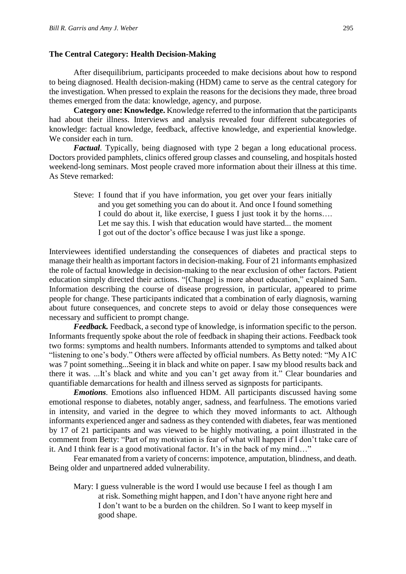#### **The Central Category: Health Decision-Making**

After disequilibrium, participants proceeded to make decisions about how to respond to being diagnosed. Health decision-making (HDM) came to serve as the central category for the investigation. When pressed to explain the reasons for the decisions they made, three broad themes emerged from the data: knowledge, agency, and purpose.

**Category one: Knowledge.** Knowledge referred to the information that the participants had about their illness. Interviews and analysis revealed four different subcategories of knowledge: factual knowledge, feedback, affective knowledge, and experiential knowledge. We consider each in turn.

*Factual.* Typically, being diagnosed with type 2 began a long educational process. Doctors provided pamphlets, clinics offered group classes and counseling, and hospitals hosted weekend-long seminars. Most people craved more information about their illness at this time. As Steve remarked:

Steve: I found that if you have information, you get over your fears initially and you get something you can do about it. And once I found something I could do about it, like exercise, I guess I just took it by the horns…. Let me say this. I wish that education would have started... the moment I got out of the doctor's office because I was just like a sponge.

Interviewees identified understanding the consequences of diabetes and practical steps to manage their health as important factors in decision-making. Four of 21 informants emphasized the role of factual knowledge in decision-making to the near exclusion of other factors. Patient education simply directed their actions. "[Change] is more about education," explained Sam. Information describing the course of disease progression, in particular, appeared to prime people for change. These participants indicated that a combination of early diagnosis, warning about future consequences, and concrete steps to avoid or delay those consequences were necessary and sufficient to prompt change.

*Feedback.* Feedback, a second type of knowledge, is information specific to the person. Informants frequently spoke about the role of feedback in shaping their actions. Feedback took two forms: symptoms and health numbers. Informants attended to symptoms and talked about "listening to one's body." Others were affected by official numbers. As Betty noted: "My A1C was 7 point something...Seeing it in black and white on paper. I saw my blood results back and there it was. ...It's black and white and you can't get away from it." Clear boundaries and quantifiable demarcations for health and illness served as signposts for participants.

*Emotions.* Emotions also influenced HDM. All participants discussed having some emotional response to diabetes, notably anger, sadness, and fearfulness. The emotions varied in intensity, and varied in the degree to which they moved informants to act. Although informants experienced anger and sadness as they contended with diabetes, fear was mentioned by 17 of 21 participants and was viewed to be highly motivating, a point illustrated in the comment from Betty: "Part of my motivation is fear of what will happen if I don't take care of it. And I think fear is a good motivational factor. It's in the back of my mind…"

Fear emanated from a variety of concerns: impotence, amputation, blindness, and death. Being older and unpartnered added vulnerability.

Mary: I guess vulnerable is the word I would use because I feel as though I am at risk. Something might happen, and I don't have anyone right here and I don't want to be a burden on the children. So I want to keep myself in good shape.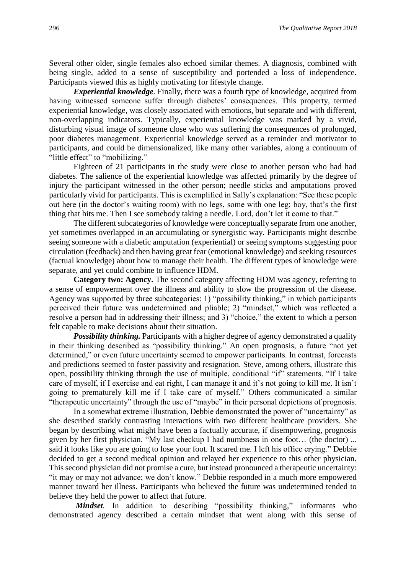Several other older, single females also echoed similar themes. A diagnosis, combined with being single, added to a sense of susceptibility and portended a loss of independence. Participants viewed this as highly motivating for lifestyle change.

*Experiential knowledge.* Finally, there was a fourth type of knowledge, acquired from having witnessed someone suffer through diabetes' consequences. This property, termed experiential knowledge, was closely associated with emotions, but separate and with different, non-overlapping indicators. Typically, experiential knowledge was marked by a vivid, disturbing visual image of someone close who was suffering the consequences of prolonged, poor diabetes management. Experiential knowledge served as a reminder and motivator to participants, and could be dimensionalized, like many other variables, along a continuum of "little effect" to "mobilizing."

Eighteen of 21 participants in the study were close to another person who had had diabetes. The salience of the experiential knowledge was affected primarily by the degree of injury the participant witnessed in the other person; needle sticks and amputations proved particularly vivid for participants. This is exemplified in Sally's explanation: "See these people out here (in the doctor's waiting room) with no legs, some with one leg; boy, that's the first thing that hits me. Then I see somebody taking a needle. Lord, don't let it come to that."

The different subcategories of knowledge were conceptually separate from one another, yet sometimes overlapped in an accumulating or synergistic way. Participants might describe seeing someone with a diabetic amputation (experiential) or seeing symptoms suggesting poor circulation (feedback) and then having great fear (emotional knowledge) and seeking resources (factual knowledge) about how to manage their health. The different types of knowledge were separate, and yet could combine to influence HDM.

**Category two: Agency.** The second category affecting HDM was agency, referring to a sense of empowerment over the illness and ability to slow the progression of the disease. Agency was supported by three subcategories: 1) "possibility thinking," in which participants perceived their future was undetermined and pliable; 2) "mindset," which was reflected a resolve a person had in addressing their illness; and 3) "choice," the extent to which a person felt capable to make decisions about their situation.

*Possibility thinking.* Participants with a higher degree of agency demonstrated a quality in their thinking described as "possibility thinking." An open prognosis, a future "not yet determined," or even future uncertainty seemed to empower participants. In contrast, forecasts and predictions seemed to foster passivity and resignation. Steve, among others, illustrate this open, possibility thinking through the use of multiple, conditional "if" statements. "If I take care of myself, if I exercise and eat right, I can manage it and it's not going to kill me. It isn't going to prematurely kill me if I take care of myself." Others communicated a similar "therapeutic uncertainty" through the use of "maybe" in their personal depictions of prognosis.

In a somewhat extreme illustration, Debbie demonstrated the power of "uncertainty" as she described starkly contrasting interactions with two different healthcare providers. She began by describing what might have been a factually accurate, if disempowering, prognosis given by her first physician. "My last checkup I had numbness in one foot… (the doctor) ... said it looks like you are going to lose your foot. It scared me. I left his office crying." Debbie decided to get a second medical opinion and relayed her experience to this other physician. This second physician did not promise a cure, but instead pronounced a therapeutic uncertainty: "it may or may not advance; we don't know." Debbie responded in a much more empowered manner toward her illness. Participants who believed the future was undetermined tended to believe they held the power to affect that future.

*Mindset*. In addition to describing "possibility thinking," informants who demonstrated agency described a certain mindset that went along with this sense of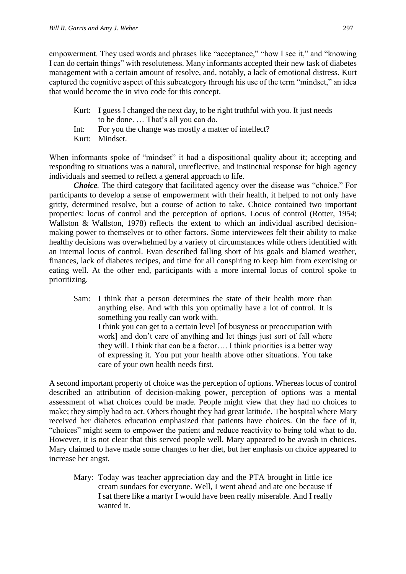empowerment. They used words and phrases like "acceptance," "how I see it," and "knowing I can do certain things" with resoluteness. Many informants accepted their new task of diabetes management with a certain amount of resolve, and, notably, a lack of emotional distress. Kurt captured the cognitive aspect of this subcategory through his use of the term "mindset," an idea that would become the in vivo code for this concept.

- Kurt: I guess I changed the next day, to be right truthful with you. It just needs to be done. … That's all you can do.
- Int: For you the change was mostly a matter of intellect?
- Kurt: Mindset.

When informants spoke of "mindset" it had a dispositional quality about it; accepting and responding to situations was a natural, unreflective, and instinctual response for high agency individuals and seemed to reflect a general approach to life.

*Choice.* The third category that facilitated agency over the disease was "choice." For participants to develop a sense of empowerment with their health, it helped to not only have gritty, determined resolve, but a course of action to take. Choice contained two important properties: locus of control and the perception of options. Locus of control (Rotter, 1954; Wallston & Wallston, 1978) reflects the extent to which an individual ascribed decisionmaking power to themselves or to other factors. Some interviewees felt their ability to make healthy decisions was overwhelmed by a variety of circumstances while others identified with an internal locus of control. Evan described falling short of his goals and blamed weather, finances, lack of diabetes recipes, and time for all conspiring to keep him from exercising or eating well. At the other end, participants with a more internal locus of control spoke to prioritizing.

Sam: I think that a person determines the state of their health more than anything else. And with this you optimally have a lot of control. It is something you really can work with. I think you can get to a certain level [of busyness or preoccupation with work] and don't care of anything and let things just sort of fall where they will. I think that can be a factor…. I think priorities is a better way of expressing it. You put your health above other situations. You take care of your own health needs first.

A second important property of choice was the perception of options. Whereas locus of control described an attribution of decision-making power, perception of options was a mental assessment of what choices could be made. People might view that they had no choices to make; they simply had to act. Others thought they had great latitude. The hospital where Mary received her diabetes education emphasized that patients have choices. On the face of it, "choices" might seem to empower the patient and reduce reactivity to being told what to do. However, it is not clear that this served people well. Mary appeared to be awash in choices. Mary claimed to have made some changes to her diet, but her emphasis on choice appeared to increase her angst.

Mary: Today was teacher appreciation day and the PTA brought in little ice cream sundaes for everyone. Well, I went ahead and ate one because if I sat there like a martyr I would have been really miserable. And I really wanted it.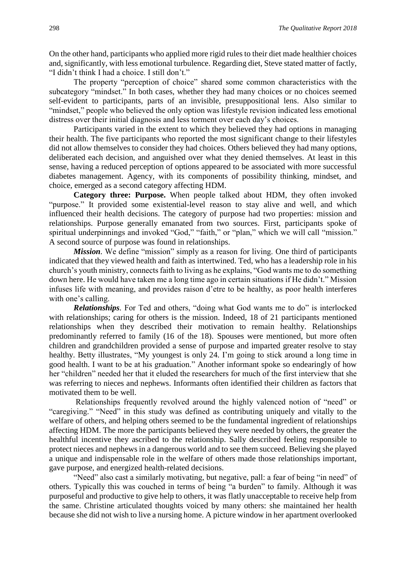On the other hand, participants who applied more rigid rules to their diet made healthier choices and, significantly, with less emotional turbulence. Regarding diet, Steve stated matter of factly, "I didn't think I had a choice. I still don't."

The property "perception of choice" shared some common characteristics with the subcategory "mindset." In both cases, whether they had many choices or no choices seemed self-evident to participants, parts of an invisible, presuppositional lens. Also similar to "mindset," people who believed the only option was lifestyle revision indicated less emotional distress over their initial diagnosis and less torment over each day's choices.

Participants varied in the extent to which they believed they had options in managing their health. The five participants who reported the most significant change to their lifestyles did not allow themselves to consider they had choices. Others believed they had many options, deliberated each decision, and anguished over what they denied themselves. At least in this sense, having a reduced perception of options appeared to be associated with more successful diabetes management. Agency, with its components of possibility thinking, mindset, and choice, emerged as a second category affecting HDM.

**Category three: Purpose.** When people talked about HDM, they often invoked "purpose." It provided some existential-level reason to stay alive and well, and which influenced their health decisions. The category of purpose had two properties: mission and relationships. Purpose generally emanated from two sources. First, participants spoke of spiritual underpinnings and invoked "God," "faith," or "plan," which we will call "mission." A second source of purpose was found in relationships.

*Mission*. We define "mission" simply as a reason for living. One third of participants indicated that they viewed health and faith as intertwined. Ted, who has a leadership role in his church's youth ministry, connects faith to living as he explains, "God wants me to do something down here. He would have taken me a long time ago in certain situations if He didn't." Mission infuses life with meaning, and provides raison d'etre to be healthy, as poor health interferes with one's calling.

*Relationships.* For Ted and others, "doing what God wants me to do" is interlocked with relationships; caring for others is the mission. Indeed, 18 of 21 participants mentioned relationships when they described their motivation to remain healthy. Relationships predominantly referred to family (16 of the 18). Spouses were mentioned, but more often children and grandchildren provided a sense of purpose and imparted greater resolve to stay healthy. Betty illustrates, "My youngest is only 24. I'm going to stick around a long time in good health. I want to be at his graduation." Another informant spoke so endearingly of how her "children" needed her that it eluded the researchers for much of the first interview that she was referring to nieces and nephews. Informants often identified their children as factors that motivated them to be well.

Relationships frequently revolved around the highly valenced notion of "need" or "caregiving." "Need" in this study was defined as contributing uniquely and vitally to the welfare of others, and helping others seemed to be the fundamental ingredient of relationships affecting HDM. The more the participants believed they were needed by others, the greater the healthful incentive they ascribed to the relationship. Sally described feeling responsible to protect nieces and nephews in a dangerous world and to see them succeed. Believing she played a unique and indispensable role in the welfare of others made those relationships important, gave purpose, and energized health-related decisions.

"Need" also cast a similarly motivating, but negative, pall: a fear of being "in need" of others. Typically this was couched in terms of being "a burden" to family. Although it was purposeful and productive to give help to others, it was flatly unacceptable to receive help from the same. Christine articulated thoughts voiced by many others: she maintained her health because she did not wish to live a nursing home. A picture window in her apartment overlooked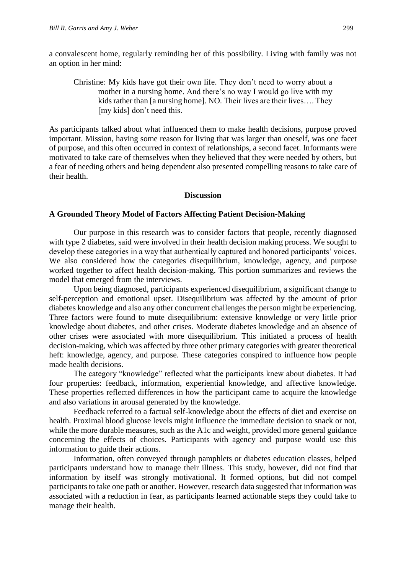a convalescent home, regularly reminding her of this possibility. Living with family was not an option in her mind:

Christine: My kids have got their own life. They don't need to worry about a mother in a nursing home. And there's no way I would go live with my kids rather than [a nursing home]. NO. Their lives are their lives…. They [my kids] don't need this.

As participants talked about what influenced them to make health decisions, purpose proved important. Mission, having some reason for living that was larger than oneself, was one facet of purpose, and this often occurred in context of relationships, a second facet. Informants were motivated to take care of themselves when they believed that they were needed by others, but a fear of needing others and being dependent also presented compelling reasons to take care of their health.

#### **Discussion**

#### **A Grounded Theory Model of Factors Affecting Patient Decision-Making**

Our purpose in this research was to consider factors that people, recently diagnosed with type 2 diabetes, said were involved in their health decision making process. We sought to develop these categories in a way that authentically captured and honored participants' voices. We also considered how the categories disequilibrium, knowledge, agency, and purpose worked together to affect health decision-making. This portion summarizes and reviews the model that emerged from the interviews.

Upon being diagnosed, participants experienced disequilibrium, a significant change to self-perception and emotional upset. Disequilibrium was affected by the amount of prior diabetes knowledge and also any other concurrent challenges the person might be experiencing. Three factors were found to mute disequilibrium: extensive knowledge or very little prior knowledge about diabetes, and other crises. Moderate diabetes knowledge and an absence of other crises were associated with more disequilibrium. This initiated a process of health decision-making, which was affected by three other primary categories with greater theoretical heft: knowledge, agency, and purpose. These categories conspired to influence how people made health decisions.

The category "knowledge" reflected what the participants knew about diabetes. It had four properties: feedback, information, experiential knowledge, and affective knowledge. These properties reflected differences in how the participant came to acquire the knowledge and also variations in arousal generated by the knowledge.

Feedback referred to a factual self-knowledge about the effects of diet and exercise on health. Proximal blood glucose levels might influence the immediate decision to snack or not, while the more durable measures, such as the A1c and weight, provided more general guidance concerning the effects of choices. Participants with agency and purpose would use this information to guide their actions.

Information, often conveyed through pamphlets or diabetes education classes, helped participants understand how to manage their illness. This study, however, did not find that information by itself was strongly motivational. It formed options, but did not compel participants to take one path or another. However, research data suggested that information was associated with a reduction in fear, as participants learned actionable steps they could take to manage their health.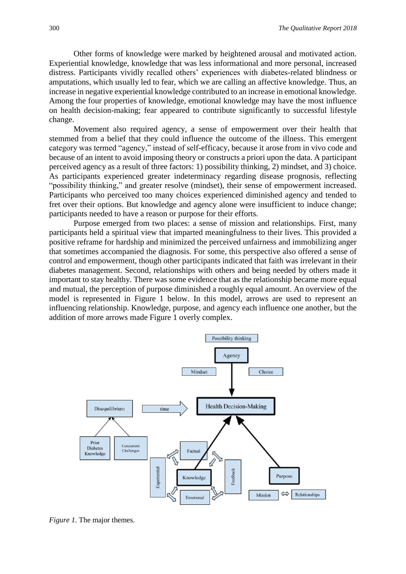Other forms of knowledge were marked by heightened arousal and motivated action. Experiential knowledge, knowledge that was less informational and more personal, increased distress. Participants vividly recalled others' experiences with diabetes-related blindness or amputations, which usually led to fear, which we are calling an affective knowledge. Thus, an increase in negative experiential knowledge contributed to an increase in emotional knowledge. Among the four properties of knowledge, emotional knowledge may have the most influence on health decision-making; fear appeared to contribute significantly to successful lifestyle change.

Movement also required agency, a sense of empowerment over their health that stemmed from a belief that they could influence the outcome of the illness. This emergent category was termed "agency," instead of self-efficacy, because it arose from in vivo code and because of an intent to avoid imposing theory or constructs a priori upon the data. A participant perceived agency as a result of three factors: 1) possibility thinking, 2) mindset, and 3) choice. As participants experienced greater indeterminacy regarding disease prognosis, reflecting "possibility thinking," and greater resolve (mindset), their sense of empowerment increased. Participants who perceived too many choices experienced diminished agency and tended to fret over their options. But knowledge and agency alone were insufficient to induce change; participants needed to have a reason or purpose for their efforts.

Purpose emerged from two places: a sense of mission and relationships. First, many participants held a spiritual view that imparted meaningfulness to their lives. This provided a positive reframe for hardship and minimized the perceived unfairness and immobilizing anger that sometimes accompanied the diagnosis. For some, this perspective also offered a sense of control and empowerment, though other participants indicated that faith was irrelevant in their diabetes management. Second, relationships with others and being needed by others made it important to stay healthy. There was some evidence that as the relationship became more equal and mutual, the perception of purpose diminished a roughly equal amount. An overview of the model is represented in Figure 1 below. In this model, arrows are used to represent an influencing relationship. Knowledge, purpose, and agency each influence one another, but the addition of more arrows made Figure 1 overly complex.



*Figure 1.* The major themes.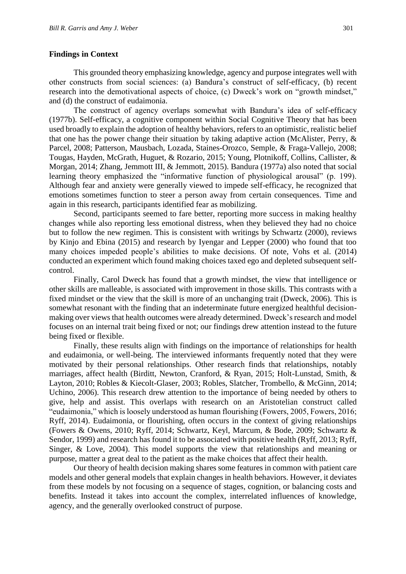#### **Findings in Context**

This grounded theory emphasizing knowledge, agency and purpose integrates well with other constructs from social sciences: (a) Bandura's construct of self-efficacy, (b) recent research into the demotivational aspects of choice, (c) Dweck's work on "growth mindset," and (d) the construct of eudaimonia.

The construct of agency overlaps somewhat with Bandura's idea of self-efficacy (1977b). Self-efficacy, a cognitive component within Social Cognitive Theory that has been used broadly to explain the adoption of healthy behaviors, refers to an optimistic, realistic belief that one has the power change their situation by taking adaptive action (McAlister, Perry, & Parcel, 2008; Patterson, Mausbach, Lozada, Staines-Orozco, Semple, & Fraga-Vallejo, 2008; Tougas, Hayden, McGrath, Huguet, & Rozario, 2015; Young, Plotnikoff, Collins, Callister, & Morgan, 2014; Zhang, Jemmott III, & Jemmott, 2015). Bandura (1977a) also noted that social learning theory emphasized the "informative function of physiological arousal" (p. 199). Although fear and anxiety were generally viewed to impede self-efficacy, he recognized that emotions sometimes function to steer a person away from certain consequences. Time and again in this research, participants identified fear as mobilizing.

Second, participants seemed to fare better, reporting more success in making healthy changes while also reporting less emotional distress, when they believed they had no choice but to follow the new regimen. This is consistent with writings by Schwartz (2000), reviews by Kinjo and Ebina (2015) and research by Iyengar and Lepper (2000) who found that too many choices impeded people's abilities to make decisions. Of note, Vohs et al. (2014) conducted an experiment which found making choices taxed ego and depleted subsequent selfcontrol.

Finally, Carol Dweck has found that a growth mindset, the view that intelligence or other skills are malleable, is associated with improvement in those skills. This contrasts with a fixed mindset or the view that the skill is more of an unchanging trait (Dweck, 2006). This is somewhat resonant with the finding that an indeterminate future energized healthful decisionmaking over views that health outcomes were already determined. Dweck's research and model focuses on an internal trait being fixed or not; our findings drew attention instead to the future being fixed or flexible.

Finally, these results align with findings on the importance of relationships for health and eudaimonia, or well-being. The interviewed informants frequently noted that they were motivated by their personal relationships. Other research finds that relationships, notably marriages, affect health (Birditt, Newton, Cranford, & Ryan, 2015; Holt-Lunstad, Smith, & Layton, 2010; Robles & Kiecolt-Glaser, 2003; Robles, Slatcher, Trombello, & McGinn, 2014; Uchino, 2006). This research drew attention to the importance of being needed by others to give, help and assist. This overlaps with research on an Aristotelian construct called "eudaimonia," which is loosely understood as human flourishing (Fowers, 2005, Fowers, 2016; Ryff, 2014). Eudaimonia, or flourishing, often occurs in the context of giving relationships (Fowers & Owens, 2010; Ryff, 2014; Schwartz, Keyl, Marcum, & Bode, 2009; Schwartz & Sendor, 1999) and research has found it to be associated with positive health (Ryff, 2013; Ryff, Singer, & Love, 2004). This model supports the view that relationships and meaning or purpose, matter a great deal to the patient as the make choices that affect their health.

Our theory of health decision making shares some features in common with patient care models and other general models that explain changes in health behaviors. However, it deviates from these models by not focusing on a sequence of stages, cognition, or balancing costs and benefits. Instead it takes into account the complex, interrelated influences of knowledge, agency, and the generally overlooked construct of purpose.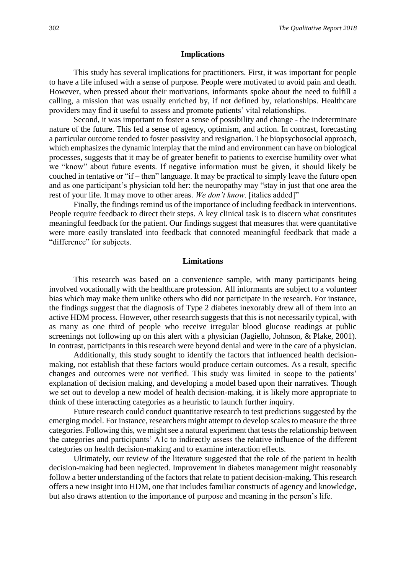#### **Implications**

This study has several implications for practitioners. First, it was important for people to have a life infused with a sense of purpose. People were motivated to avoid pain and death. However, when pressed about their motivations, informants spoke about the need to fulfill a calling, a mission that was usually enriched by, if not defined by, relationships. Healthcare providers may find it useful to assess and promote patients' vital relationships.

Second, it was important to foster a sense of possibility and change - the indeterminate nature of the future. This fed a sense of agency, optimism, and action. In contrast, forecasting a particular outcome tended to foster passivity and resignation. The biopsychosocial approach, which emphasizes the dynamic interplay that the mind and environment can have on biological processes, suggests that it may be of greater benefit to patients to exercise humility over what we "know" about future events. If negative information must be given, it should likely be couched in tentative or "if – then" language. It may be practical to simply leave the future open and as one participant's physician told her: the neuropathy may "stay in just that one area the rest of your life. It may move to other areas. *We don't know*. [italics added]"

Finally, the findings remind us of the importance of including feedback in interventions. People require feedback to direct their steps. A key clinical task is to discern what constitutes meaningful feedback for the patient. Our findings suggest that measures that were quantitative were more easily translated into feedback that connoted meaningful feedback that made a "difference" for subjects.

#### **Limitations**

This research was based on a convenience sample, with many participants being involved vocationally with the healthcare profession. All informants are subject to a volunteer bias which may make them unlike others who did not participate in the research. For instance, the findings suggest that the diagnosis of Type 2 diabetes inexorably drew all of them into an active HDM process. However, other research suggests that this is not necessarily typical, with as many as one third of people who receive irregular blood glucose readings at public screenings not following up on this alert with a physician (Jagiello, Johnson, & Plake, 2001). In contrast, participants in this research were beyond denial and were in the care of a physician.

Additionally, this study sought to identify the factors that influenced health decisionmaking, not establish that these factors would produce certain outcomes. As a result, specific changes and outcomes were not verified. This study was limited in scope to the patients' explanation of decision making, and developing a model based upon their narratives. Though we set out to develop a new model of health decision-making, it is likely more appropriate to think of these interacting categories as a heuristic to launch further inquiry.

Future research could conduct quantitative research to test predictions suggested by the emerging model. For instance, researchers might attempt to develop scales to measure the three categories. Following this, we might see a natural experiment that tests the relationship between the categories and participants' A1c to indirectly assess the relative influence of the different categories on health decision-making and to examine interaction effects.

Ultimately, our review of the literature suggested that the role of the patient in health decision-making had been neglected. Improvement in diabetes management might reasonably follow a better understanding of the factors that relate to patient decision-making. This research offers a new insight into HDM, one that includes familiar constructs of agency and knowledge, but also draws attention to the importance of purpose and meaning in the person's life.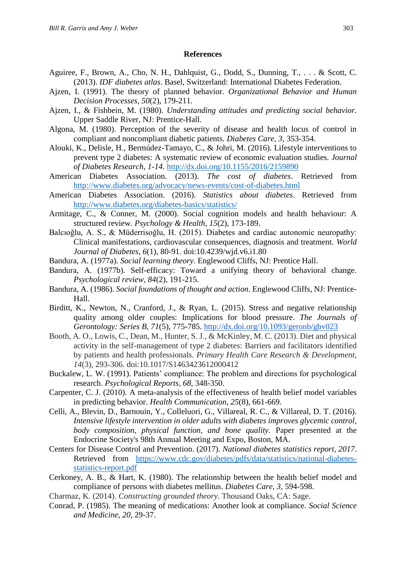#### **References**

- Aguiree, F., Brown, A., Cho, N. H., Dahlquist, G., Dodd, S., Dunning, T., . . . & Scott, C. (2013). *IDF diabetes atlas*. Basel, Switzerland: International Diabetes Federation.
- Ajzen, I. (1991). The theory of planned behavior. *Organizational Behavior and Human Decision Processes*, *50*(2), 179-211.
- Ajzen, I., & Fishbein, M. (1980). *Understanding attitudes and predicting social behavior.* Upper Saddle River, NJ: Prentice-Hall.
- Algona, M. (1980). Perception of the severity of disease and health locus of control in compliant and noncompliant diabetic patients. *Diabetes Care, 3*, 353-354.
- Alouki, K., Delisle, H., Bermúdez-Tamayo, C., & Johri, M. (2016). Lifestyle interventions to prevent type 2 diabetes: A systematic review of economic evaluation studies. *Journal of Diabetes Research*, *1-14*. <http://dx.doi.org/10.1155/2016/2159890>
- American Diabetes Association. (2013). *The cost of diabetes*. Retrieved from <http://www.diabetes.org/advocacy/news-events/cost-of-diabetes.html>
- American Diabetes Association. (2016). *Statistics about diabetes*. Retrieved from <http://www.diabetes.org/diabetes-basics/statistics/>
- Armitage, C., & Conner, M. (2000). Social cognition models and health behaviour: A structured review. *Psychology & Health*, *15*(2), 173-189.
- Balcıoğlu, A. S., & Müderrisoğlu, H. (2015). Diabetes and cardiac autonomic neuropathy: Clinical manifestations, cardiovascular consequences, diagnosis and treatment. *World Journal of Diabetes*, *6*(1), 80-91. doi:10.4239/wjd.v6.i1.80
- Bandura, A. (1977a). *Social learning theory*. Englewood Cliffs, NJ: Prentice Hall.
- Bandura, A. (1977b). Self-efficacy: Toward a unifying theory of behavioral change. *Psychological review*, *84*(2), 191-215.
- Bandura, A. (1986). *Social foundations of thought and action*. Englewood Cliffs, NJ: Prentice-Hall.
- Birditt, K., Newton, N., Cranford, J., & Ryan, L. (2015). Stress and negative relationship quality among older couples: Implications for blood pressure. *The Journals of Gerontology: Series B*, *71*(5), 775-785.<http://dx.doi.org/10.1093/geronb/gbv023>
- Booth, A. O., Lowis, C., Dean, M., Hunter, S. J., & McKinley, M. C. (2013). Diet and physical activity in the self-management of type 2 diabetes: Barriers and facilitators identified by patients and health professionals. *Primary Health Care Research & Development*, *14*(3), 293-306. doi:10.1017/S1463423612000412
- Buckalew, L. W. (1991). Patients' compliance: The problem and directions for psychological research. *Psychological Reports, 68,* 348-350.
- Carpenter, C. J. (2010). A meta-analysis of the effectiveness of health belief model variables in predicting behavior. *Health Communication, 25*(8), 661-669.
- Celli, A., Blevin, D., Barnouin, Y., Colleluori, G., Villareal, R. C., & Villareal, D. T. (2016). *Intensive lifestyle intervention in older adults with diabetes improves glycemic control, body composition, physical function, and bone quality.* Paper presented at the Endocrine Society's 98th Annual Meeting and Expo, Boston, MA.
- Centers for Disease Control and Prevention. (2017). *National diabetes statistics report, 2017*. Retrieved from [https://www.cdc.gov/diabetes/pdfs/data/statistics/national-diabetes](https://www.cdc.gov/diabetes/pdfs/data/statistics/national-diabetes-statistics-report.pdf)[statistics-report.pdf](https://www.cdc.gov/diabetes/pdfs/data/statistics/national-diabetes-statistics-report.pdf)
- Cerkoney, A. B., & Hart, K. (1980). The relationship between the health belief model and compliance of persons with diabetes mellitus. *Diabetes Care, 3,* 594-598.
- Charmaz, K. (2014). *Constructing grounded theory*. Thousand Oaks, CA: Sage.
- Conrad, P. (1985). The meaning of medications: Another look at compliance. *Social Science and Medicine, 20,* 29-37.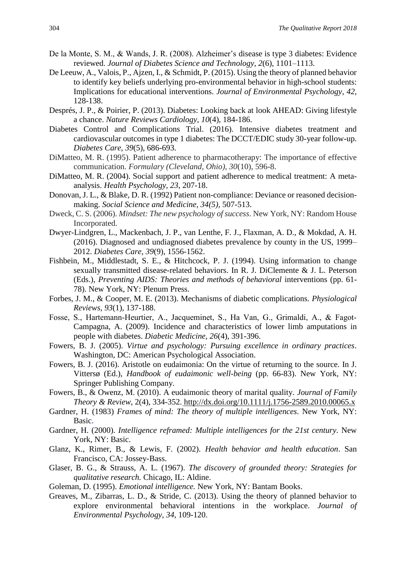- De la Monte, S. M., & Wands, J. R. (2008). Alzheimer's disease is type 3 diabetes: Evidence reviewed. *Journal of Diabetes Science and Technology*, *2*(6), 1101–1113.
- De Leeuw, A., Valois, P., Ajzen, I., & Schmidt, P. (2015). Using the theory of planned behavior to identify key beliefs underlying pro-environmental behavior in high-school students: Implications for educational interventions. *Journal of Environmental Psychology*, *42*, 128-138.
- Després, J. P., & Poirier, P. (2013). Diabetes: Looking back at look AHEAD: Giving lifestyle a chance. *Nature Reviews Cardiology*, *10*(4), 184-186.
- Diabetes Control and Complications Trial. (2016). Intensive diabetes treatment and cardiovascular outcomes in type 1 diabetes: The DCCT/EDIC study 30-year follow-up. *Diabetes Care*, *39*(5), 686-693.
- DiMatteo, M. R. (1995). Patient adherence to pharmacotherapy: The importance of effective communication. *Formulary (Cleveland, Ohio), 30*(10), 596-8.
- DiMatteo, M. R. (2004). Social support and patient adherence to medical treatment: A metaanalysis. *Health Psychology, 23*, 207-18.
- Donovan, J. L., & Blake, D. R. (1992) Patient non-compliance: Deviance or reasoned decisionmaking. *Social Science and Medicine, 34(5),* 507-513.
- Dweck, C. S. (2006). *Mindset: The new psychology of success*. New York, NY: Random House Incorporated.
- Dwyer-Lindgren, L., Mackenbach, J. P., van Lenthe, F. J., Flaxman, A. D., & Mokdad, A. H. (2016). Diagnosed and undiagnosed diabetes prevalence by county in the US, 1999– 2012. *Diabetes Care*, *39*(9), 1556-1562.
- Fishbein, M., Middlestadt, S. E., & Hitchcock, P. J. (1994). Using information to change sexually transmitted disease-related behaviors. In R. J. DiClemente & J. L. Peterson (Eds.), *Preventing AIDS: Theories and methods of behavioral* interventions (pp. 61- 78). New York, NY: Plenum Press.
- Forbes, J. M., & Cooper, M. E. (2013). Mechanisms of diabetic complications. *Physiological Reviews*, *93*(1), 137-188.
- Fosse, S., Hartemann‐Heurtier, A., Jacqueminet, S., Ha Van, G., Grimaldi, A., & Fagot‐ Campagna, A. (2009). Incidence and characteristics of lower limb amputations in people with diabetes. *Diabetic Medicine*, *26*(4), 391-396.
- Fowers, B. J. (2005). *Virtue and psychology: Pursuing excellence in ordinary practices*. Washington, DC: American Psychological Association.
- Fowers, B. J. (2016). Aristotle on eudaimonia: On the virtue of returning to the source. In J. Vittersø (Ed.), *Handbook of eudaimonic well-being* (pp. 66-83). New York, NY: Springer Publishing Company.
- Fowers, B., & Owenz, M. (2010). A eudaimonic theory of marital quality. *Journal of Family Theory & Review*, 2(4), 334-352. [http://dx.doi.org/10.1111/j.1756-2589.2010.00065.x](file:///C:/Users/Gorgeous/AppData/Local/Packages/microsoft.windowscommunicationsapps_8wekyb3d8bbwe/LocalState/Files/S0/3473/)
- Gardner, H. (1983) *Frames of mind: The theory of multiple intelligences*. New York, NY: Basic.
- Gardner, H. (2000). *Intelligence reframed: Multiple intelligences for the 21st century.* New York, NY: Basic.
- Glanz, K., Rimer, B., & Lewis, F. (2002). *Health behavior and health education*. San Francisco, CA: Jossey-Bass.
- Glaser, B. G., & Strauss, A. L. (1967). *The discovery of grounded theory: Strategies for qualitative research.* Chicago, IL: Aldine.
- Goleman, D. (1995). *Emotional intelligence.* New York, NY: Bantam Books.
- Greaves, M., Zibarras, L. D., & Stride, C. (2013). Using the theory of planned behavior to explore environmental behavioral intentions in the workplace. *Journal of Environmental Psychology*, *34*, 109-120.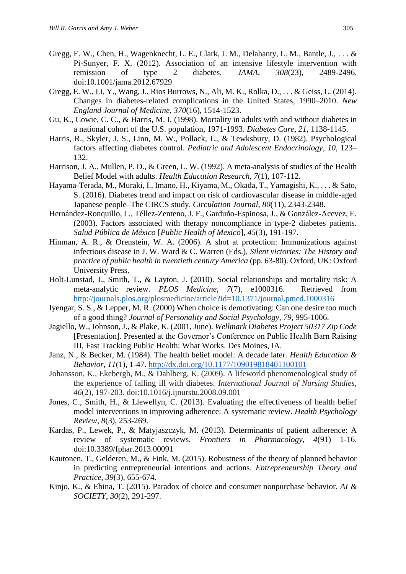- Gregg, E. W., Chen, H., Wagenknecht, L. E., Clark, J. M., Delahanty, L. M., Bantle, J., . . . & Pi-Sunyer, F. X. (2012). Association of an intensive lifestyle intervention with remission of type 2 diabetes. *JAMA*, *308*(23), 2489-2496. doi:10.1001/jama.2012.67929
- Gregg, E. W., Li, Y., Wang, J., Rios Burrows, N., Ali, M. K., Rolka, D., . . . & Geiss, L. (2014). Changes in diabetes-related complications in the United States, 1990–2010. *New England Journal of Medicine, 370*(16), 1514-1523.
- Gu, K., Cowie, C. C., & Harris, M. I. (1998). Mortality in adults with and without diabetes in a national cohort of the U.S. population, 1971-1993. *Diabetes Care, 21,* 1138-1145.
- Harris, R., Skyler, J. S., Linn, M. W., Pollack, L., & Tewksbury, D. (1982). Psychological factors affecting diabetes control. *Pediatric and Adolescent Endocrinology*, *10*, 123– 132.
- Harrison, J. A., Mullen, P. D., & Green, L. W. (1992). A meta-analysis of studies of the Health Belief Model with adults. *Health Education Research, 7*(1), 107-112.
- Hayama-Terada, M., Muraki, I., Imano, H., Kiyama, M., Okada, T., Yamagishi, K., . . . & Sato, S. (2016). Diabetes trend and impact on risk of cardiovascular disease in middle-aged Japanese people–The CIRCS study. *Circulation Journal*, *80*(11), 2343-2348.
- Hernández-Ronquillo, L., Téllez-Zenteno, J. F., Garduño-Espinosa, J., & González-Acevez, E. (2003). Factors associated with therapy noncompliance in type-2 diabetes patients. *Salud Pública de México* [*Public Health of Mexico*], *45*(3), 191-197.
- Hinman, A. R., & Orenstein, W. A. (2006). A shot at protection: Immunizations against infectious disease in J. W. Ward & C. Warren (Eds.), *Silent victories: The History and practice of public health in twentieth century America* (pp. 63-80). Oxford, UK: Oxford University Press.
- Holt-Lunstad, J., Smith, T., & Layton, J. (2010). Social relationships and mortality risk: A meta-analytic review. *PLOS Medicine*, *7*(7), e1000316[.](http://dx.doi.org/10.1371/journal.pmed.1000316) Retrieved from <http://journals.plos.org/plosmedicine/article?id=10.1371/journal.pmed.1000316>
- Iyengar, S. S., & Lepper, M. R. (2000) When choice is demotivating: Can one desire too much of a good thing? *Journal of Personality and Social Psychology, 79*, 995-1006.
- Jagiello, W., Johnson, J., & Plake, K. (2001, June). *Wellmark Diabetes Project 50317 Zip Code* [Presentation]. Presented at the Governor's Conference on Public Health Barn Raising III, Fast Tracking Public Health: What Works. Des Moines, IA.
- Janz, N., & Becker, M. (1984). The health belief model: A decade later. *Health Education & Behavior*, *11*(1), 1-47.<http://dx.doi.org/10.1177/109019818401100101>
- Johansson, K., Ekebergh, M., & Dahlberg, K. (2009). A lifeworld phenomenological study of the experience of falling ill with diabetes. *International Journal of Nursing Studies*, *46*(2), 197-203. doi:10.1016/j.ijnurstu.2008.09.001
- Jones, C., Smith, H., & Llewellyn, C. (2013). Evaluating the effectiveness of health belief model interventions in improving adherence: A systematic review. *Health Psychology Review*, *8*(3), 253-269.
- Kardas, P., Lewek, P., & Matyjaszczyk, M. (2013). Determinants of patient adherence: A review of systematic reviews. *Frontiers in Pharmacology*, *4*(91) 1-16. doi:10.3389/fphar.2013.00091
- Kautonen, T., Gelderen, M., & Fink, M. (2015). Robustness of the theory of planned behavior in predicting entrepreneurial intentions and actions. *Entrepreneurship Theory and Practice*, *39*(3), 655-674.
- Kinjo, K., & Ebina, T. (2015). Paradox of choice and consumer nonpurchase behavior. *AI & SOCIETY*, *30*(2), 291-297.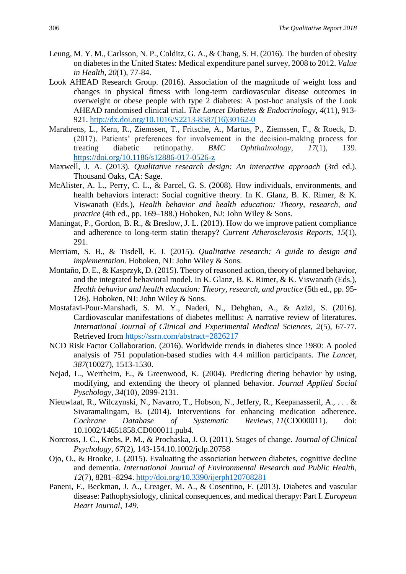- Leung, M. Y. M., Carlsson, N. P., Colditz, G. A., & Chang, S. H. (2016). The burden of obesity on diabetes in the United States: Medical expenditure panel survey, 2008 to 2012. *Value in Health, 20*(1), 77-84.
- Look AHEAD Research Group. (2016). Association of the magnitude of weight loss and changes in physical fitness with long-term cardiovascular disease outcomes in overweight or obese people with type 2 diabetes: A post-hoc analysis of the Look AHEAD randomised clinical trial. *The Lancet Diabetes & Endocrinology*, *4*(11), 913- 921. [http://dx.doi.org/10.1016/S2213-8587\(16\)30162-0](http://dx.doi.org/10.1016/S2213-8587(16)30162-0)
- Marahrens, L., Kern, R., Ziemssen, T., Fritsche, A., Martus, P., Ziemssen, F., & Roeck, D. (2017). Patients' preferences for involvement in the decision-making process for treating diabetic retinopathy. *BMC Ophthalmology*, *17*(1), 139. <https://doi.org/10.1186/s12886-017-0526-z>
- Maxwell, J. A. (2013). *Qualitative research design: An interactive approach* (3rd ed.). Thousand Oaks, CA: Sage.
- McAlister, A. L., Perry, C. L., & Parcel, G. S. (2008). How individuals, environments, and health behaviors interact: Social cognitive theory. In K. Glanz, B. K. Rimer, & K. Viswanath (Eds.), *Health behavior and health education: Theory, research, and practice* (4th ed., pp. 169–188.) Hoboken, NJ: John Wiley & Sons.
- Maningat, P., Gordon, B. R., & Breslow, J. L. (2013). How do we improve patient compliance and adherence to long-term statin therapy? *Current Atherosclerosis Reports*, *15*(1), 291.
- Merriam, S. B., & Tisdell, E. J. (2015). *Qualitative research: A guide to design and implementation*. Hoboken, NJ: John Wiley & Sons.
- Montaño, D. E., & Kasprzyk, D. (2015). Theory of reasoned action, theory of planned behavior, and the integrated behavioral model. In K. Glanz, B. K. Rimer, & K. Viswanath (Eds.), *Health behavior and health education: Theory, research, and practice* (5th ed., pp. 95- 126). Hoboken, NJ: John Wiley & Sons.
- Mostafavi-Pour-Manshadi, S. M. Y., Naderi, N., Dehghan, A., & Azizi, S. (2016). Cardiovascular manifestations of diabetes mellitus: A narrative review of literatures. *International Journal of Clinical and Experimental Medical Sciences, 2*(5), 67-77. Retrieved from<https://ssrn.com/abstract=2826217>
- NCD Risk Factor Collaboration. (2016). Worldwide trends in diabetes since 1980: A pooled analysis of 751 population-based studies with 4.4 million participants. *The Lancet*, *387*(10027), 1513-1530.
- Nejad, L., Wertheim, E., & Greenwood, K. (2004). Predicting dieting behavior by using, modifying, and extending the theory of planned behavior. *Journal Applied Social Pyschology*, *34*(10), 2099-2131.
- Nieuwlaat, R., Wilczynski, N., Navarro, T., Hobson, N., Jeffery, R., Keepanasseril, A., . . . & Sivaramalingam, B. (2014). Interventions for enhancing medication adherence. *Cochrane Database of Systematic Reviews, 11*(CD000011). doi: 10.1002/14651858.CD000011.pub4.
- Norcross, J. C., Krebs, P. M., & Prochaska, J. O. (2011). Stages of change. *Journal of Clinical Psychology*, *67*(2), 143-154.10.1002/jclp.20758
- Ojo, O., & Brooke, J. (2015). Evaluating the association between diabetes, cognitive decline and dementia. *International Journal of Environmental Research and Public Health*, *12*(7), 8281–8294.<http://doi.org/10.3390/ijerph120708281>
- Paneni, F., Beckman, J. A., Creager, M. A., & Cosentino, F. (2013). Diabetes and vascular disease: Pathophysiology, clinical consequences, and medical therapy: Part I. *European Heart Journal*, *149*.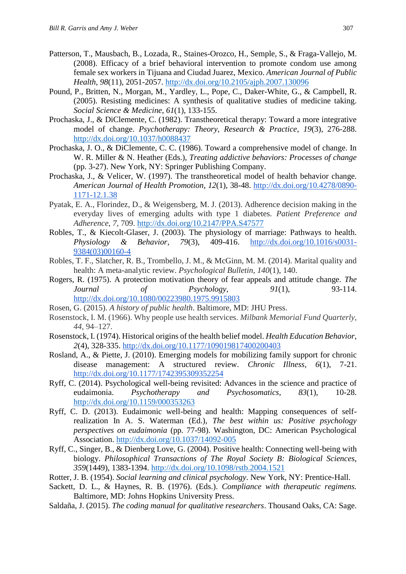- Patterson, T., Mausbach, B., Lozada, R., Staines-Orozco, H., Semple, S., & Fraga-Vallejo, M. (2008). Efficacy of a brief behavioral intervention to promote condom use among female sex workers in Tijuana and Ciudad Juarez, Mexico. *American Journal of Public Health*, *98*(11), 2051-2057[.](http://dx.doi.org/10.2105/ajph.2007.130096) <http://dx.doi.org/10.2105/ajph.2007.130096>
- Pound, P., Britten, N., Morgan, M., Yardley, L., Pope, C., Daker-White, G., & Campbell, R. (2005). Resisting medicines: A synthesis of qualitative studies of medicine taking. *Social Science & Medicine*, *61*(1), 133-155.
- Prochaska, J., & DiClemente, C. (1982). Transtheoretical therapy: Toward a more integrative model of change. *Psychotherapy: Theory, Research & Practice*, *19*(3), 276-288. <http://dx.doi.org/10.1037/h0088437>
- Prochaska, J. O., & DiClemente, C. C. (1986). Toward a comprehensive model of change. In W. R. Miller & N. Heather (Eds.), *Treating addictive behaviors: Processes of change* (pp. 3-27). New York, NY: Springer Publishing Company.
- Prochaska, J., & Velicer, W. (1997). The transtheoretical model of health behavior change. *American Journal of Health Promotion*, *12*(1), 38-48. [http://dx.doi.org/10.4278/0890-](http://dx.doi.org/10.4278/0890-1171-12.1.38) [1171-12.1.38](http://dx.doi.org/10.4278/0890-1171-12.1.38)
- Pyatak, E. A., Florindez, D., & Weigensberg, M. J. (2013). Adherence decision making in the everyday lives of emerging adults with type 1 diabetes. *Patient Preference and Adherence*, *7*, 709. <http://dx.doi.org/10.2147/PPA.S47577>
- Robles, T., & Kiecolt-Glaser, J. (2003). The physiology of marriage: Pathways to health. *Physiology & Behavior*, *79*(3), 409-416. [http://dx.doi.org/10.1016/s0031-](http://dx.doi.org/10.1016/s0031-9384(03)00160-4) [9384\(03\)00160-4](http://dx.doi.org/10.1016/s0031-9384(03)00160-4)
- Robles, T. F., Slatcher, R. B., Trombello, J. M., & McGinn, M. M. (2014). Marital quality and health: A meta-analytic review. *Psychological Bulletin*, *140*(1), 140.
- Rogers, R. (1975). A protection motivation theory of fear appeals and attitude change. *The Journal of Psychology*, 91(1), 93-114. <http://dx.doi.org/10.1080/00223980.1975.9915803>
- Rosen, G. (2015). *A history of public health*. Baltimore, MD: JHU Press.
- Rosenstock, I. M. (1966). Why people use health services. *Milbank Memorial Fund Quarterly*, *44*, 94–127.
- Rosenstock, I. (1974). Historical origins of the health belief model. *Health Education Behavior*, *2*(4), 328-335.<http://dx.doi.org/10.1177/109019817400200403>
- Rosland, A., & Piette, J. (2010). Emerging models for mobilizing family support for chronic disease management: A structured review. *Chronic Illness*, *6*(1), 7-21. <http://dx.doi.org/10.1177/1742395309352254>
- Ryff, C. (2014). Psychological well-being revisited: Advances in the science and practice of eudaimonia. *Psychotherapy and Psychosomatics*, *83*(1), 10-28. <http://dx.doi.org/10.1159/000353263>
- Ryff, C. D. (2013). Eudaimonic well-being and health: Mapping consequences of selfrealization In A. S. Waterman (Ed.), *The best within us: Positive psychology perspectives on eudaimonia* (pp. 77-98). Washington, DC: American Psychological Association.<http://dx.doi.org/10.1037/14092-005>
- Ryff, C., Singer, B., & Dienberg Love, G. (2004). Positive health: Connecting well-being with biology. *Philosophical Transactions of The Royal Society B: Biological Sciences*, *359*(1449), 1383-1394.<http://dx.doi.org/10.1098/rstb.2004.1521>
- Rotter, J. B. (1954). *Social learning and clinical psychology*. New York, NY: Prentice-Hall.
- Sackett, D. L., & Haynes, R. B. (1976). (Eds.). *Compliance with therapeutic regimens.* Baltimore, MD: Johns Hopkins University Press.
- Saldaña, J. (2015). *The coding manual for qualitative researchers*. Thousand Oaks, CA: Sage.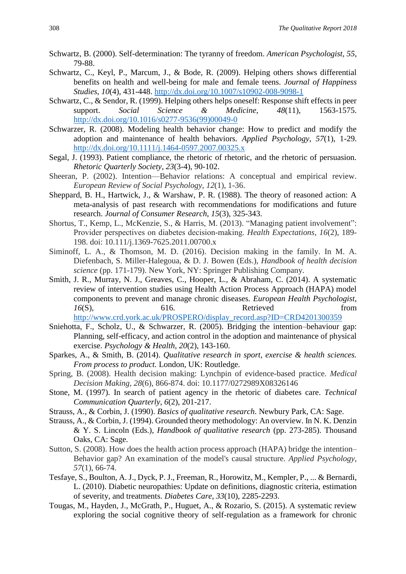- Schwartz, B. (2000). Self-determination: The tyranny of freedom. *American Psychologist, 55*, 79-88.
- Schwartz, C., Keyl, P., Marcum, J., & Bode, R. (2009). Helping others shows differential benefits on health and well-being for male and female teens. *Journal of Happiness Studies*, *10*(4), 431-448.<http://dx.doi.org/10.1007/s10902-008-9098-1>
- Schwartz, C., & Sendor, R. (1999). Helping others helps oneself: Response shift effects in peer support. *Social Science & Medicine*, *48*(11), 1563-1575. [http://dx.doi.org/10.1016/s0277-9536\(99\)00049-0](http://dx.doi.org/10.1016/s0277-9536(99)00049-0)
- Schwarzer, R. (2008). Modeling health behavior change: How to predict and modify the adoption and maintenance of health behaviors. *Applied Psychology*, *57*(1), 1-29. <http://dx.doi.org/10.1111/j.1464-0597.2007.00325.x>
- Segal, J. (1993). Patient compliance, the rhetoric of rhetoric, and the rhetoric of persuasion. *Rhetoric Quarterly Society, 23*(3-4), 90-102.
- Sheeran, P. (2002). Intention—Behavior relations: A conceptual and empirical review. *European Review of Social Psychology*, *12*(1), 1-36.
- Sheppard, B. H., Hartwick, J., & Warshaw, P. R. (1988). The theory of reasoned action: A meta-analysis of past research with recommendations for modifications and future research. *Journal of Consumer Research*, *15*(3), 325-343[.](http://dx.doi.org/10.1086/209170)
- Shortus, T., Kemp, L., McKenzie, S., & Harris, M. (2013). "Managing patient involvement": Provider perspectives on diabetes decision‐making. *Health Expectations*, *16*(2), 189- 198. doi: 10.111/j.1369-7625.2011.00700.x
- Siminoff, L. A., & Thomson, M. D. (2016). Decision making in the family. In M. A. Diefenbach, S. Miller-Halegoua, & D. J. Bowen (Eds.), *Handbook of health decision science* (pp. 171-179). New York, NY: Springer Publishing Company.
- Smith, J. R., Murray, N. J., Greaves, C., Hooper, L., & Abraham, C. (2014). A systematic review of intervention studies using Health Action Process Approach (HAPA) model components to prevent and manage chronic diseases. *European Health Psychologist*, *16*(S), 616. Retrieved from [http://www.crd.york.ac.uk/PROSPERO/display\\_record.asp?ID=CRD4201300359](http://www.crd.york.ac.uk/PROSPERO/display_record.asp?ID=CRD4201300359)
- Sniehotta, F., Scholz, U., & Schwarzer, R. (2005). Bridging the intention–behaviour gap: Planning, self-efficacy, and action control in the adoption and maintenance of physical exercise. *Psychology & Health*, *20*(2), 143-160.
- Sparkes, A., & Smith, B. (2014). *Qualitative research in sport, exercise & health sciences. From process to product.* London, UK: Routledge.
- Spring, B. (2008). Health decision making: Lynchpin of evidence-based practice. *Medical Decision Making*, *28*(6), 866-874. doi: 10.1177/0272989X08326146
- Stone, M. (1997). In search of patient agency in the rhetoric of diabetes care. *Technical Communication Quarterly*, *6*(2), 201-217.
- Strauss, A., & Corbin, J. (1990). *Basics of qualitative research*. Newbury Park, CA: Sage.
- Strauss, A., & Corbin, J. (1994). Grounded theory methodology: An overview. In N. K. Denzin & Y. S. Lincoln (Eds.), *Handbook of qualitative research* (pp. 273-285). Thousand Oaks, CA: Sage.
- Sutton, S. (2008). How does the health action process approach (HAPA) bridge the intention– Behavior gap? An examination of the model's causal structure. *Applied Psychology*, *57*(1), 66-74.
- Tesfaye, S., Boulton, A. J., Dyck, P. J., Freeman, R., Horowitz, M., Kempler, P., ... & Bernardi, L. (2010). Diabetic neuropathies: Update on definitions, diagnostic criteria, estimation of severity, and treatments. *Diabetes Care*, *33*(10), 2285-2293.
- Tougas, M., Hayden, J., McGrath, P., Huguet, A., & Rozario, S. (2015). A systematic review exploring the social cognitive theory of self-regulation as a framework for chronic